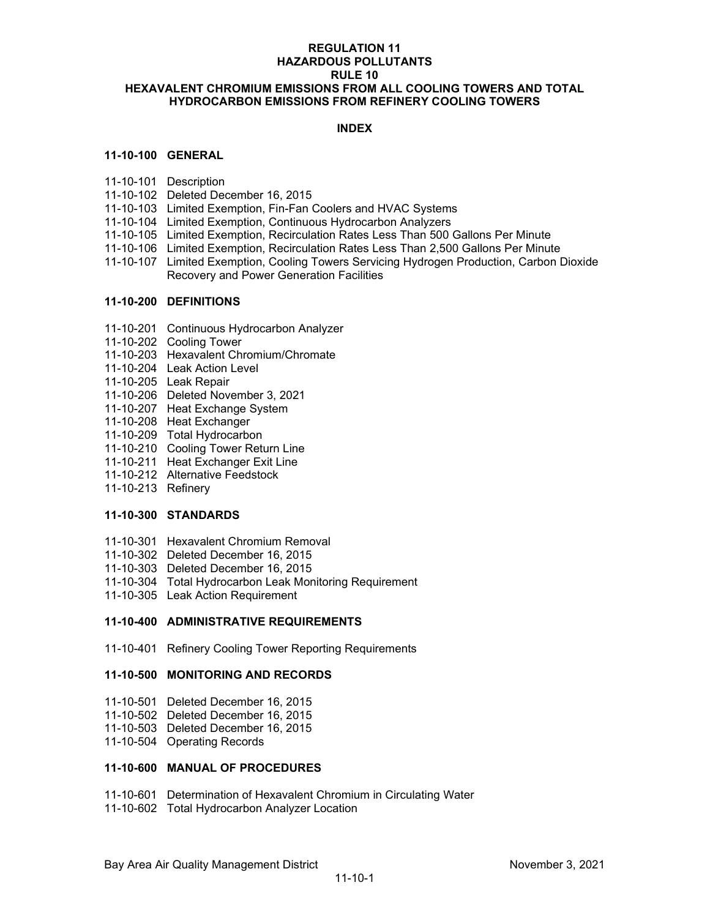## **REGULATION 11 HAZARDOUS POLLUTANTS RULE 10 HEXAVALENT CHROMIUM EMISSIONS FROM ALL COOLING TOWERS AND TOTAL HYDROCARBON EMISSIONS FROM REFINERY COOLING TOWERS**

## **INDEX**

### **11-10-100 GENERAL**

- 11-10-101 Description
- 11-10-102 Deleted December 16, 2015
- 11-10-103 Limited Exemption, Fin-Fan Coolers and HVAC Systems
- 11-10-104 Limited Exemption, Continuous Hydrocarbon Analyzers
- 11-10-105 Limited Exemption, Recirculation Rates Less Than 500 Gallons Per Minute
- 11-10-106 Limited Exemption, Recirculation Rates Less Than 2,500 Gallons Per Minute
- 11-10-107 Limited Exemption, Cooling Towers Servicing Hydrogen Production, Carbon Dioxide Recovery and Power Generation Facilities

### **11-10-200 DEFINITIONS**

- 11-10-201 Continuous Hydrocarbon Analyzer
- 11-10-202 Cooling Tower
- 11-10-203 Hexavalent Chromium/Chromate
- 11-10-204 Leak Action Level
- 11-10-205 Leak Repair
- 11-10-206 Deleted November 3, 2021
- 11-10-207 Heat Exchange System
- 11-10-208 Heat Exchanger
- 11-10-209 Total Hydrocarbon
- 11-10-210 Cooling Tower Return Line
- 11-10-211 Heat Exchanger Exit Line
- 11-10-212 Alternative Feedstock
- 11-10-213 Refinery

### **11-10-300 STANDARDS**

- 11-10-301 Hexavalent Chromium Removal
- 11-10-302 Deleted December 16, 2015
- 11-10-303 Deleted December 16, 2015
- 11-10-304 Total Hydrocarbon Leak Monitoring Requirement
- 11-10-305 Leak Action Requirement

### **11-10-400 ADMINISTRATIVE REQUIREMENTS**

11-10-401 Refinery Cooling Tower Reporting Requirements

#### **11-10-500 MONITORING AND RECORDS**

- 11-10-501 Deleted December 16, 2015
- 11-10-502 Deleted December 16, 2015
- 11-10-503 Deleted December 16, 2015
- 11-10-504 Operating Records

#### **11-10-600 MANUAL OF PROCEDURES**

- 11-10-601 Determination of Hexavalent Chromium in Circulating Water
- 11-10-602 Total Hydrocarbon Analyzer Location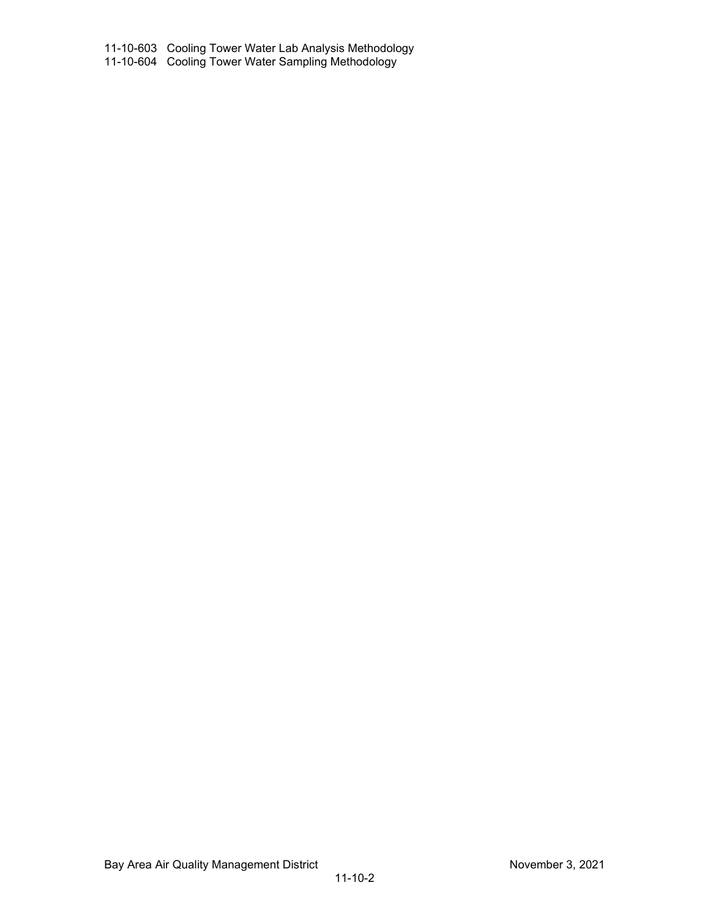11-10-603 Cooling Tower Water Lab Analysis Methodology 11-10-604 Cooling Tower Water Sampling Methodology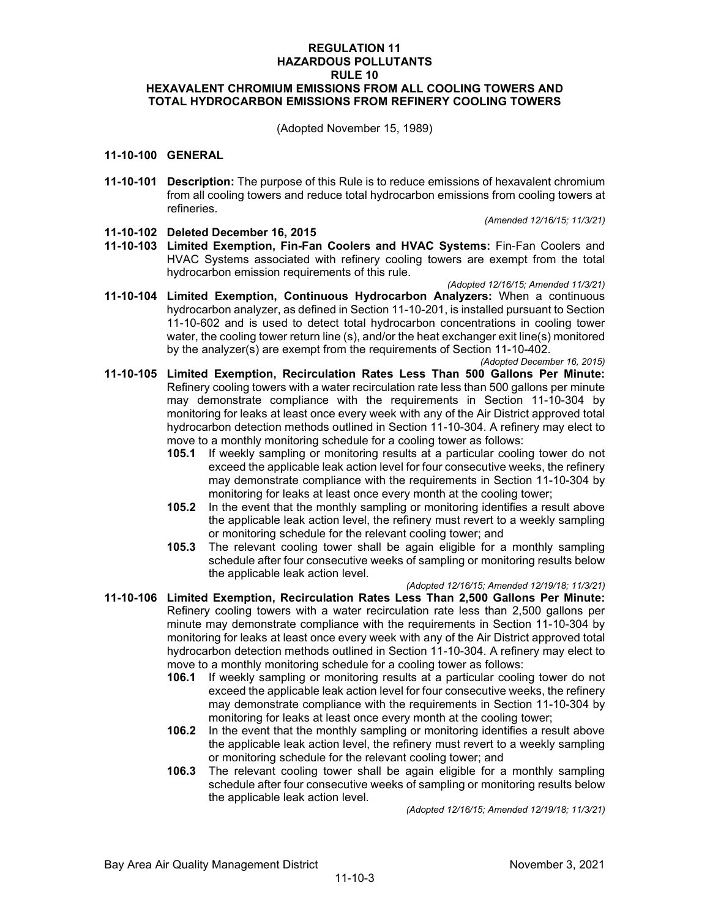## **REGULATION 11 HAZARDOUS POLLUTANTS RULE 10 HEXAVALENT CHROMIUM EMISSIONS FROM ALL COOLING TOWERS AND TOTAL HYDROCARBON EMISSIONS FROM REFINERY COOLING TOWERS**

(Adopted November 15, 1989)

#### **11-10-100 GENERAL**

**11-10-101 Description:** The purpose of this Rule is to reduce emissions of hexavalent chromium from all cooling towers and reduce total hydrocarbon emissions from cooling towers at refineries.

*(Amended 12/16/15; 11/3/21)*

### **11-10-102 Deleted December 16, 2015**

**11-10-103 Limited Exemption, Fin-Fan Coolers and HVAC Systems:** Fin-Fan Coolers and HVAC Systems associated with refinery cooling towers are exempt from the total hydrocarbon emission requirements of this rule.

*(Adopted 12/16/15; Amended 11/3/21)*

- **11-10-104 Limited Exemption, Continuous Hydrocarbon Analyzers:** When a continuous hydrocarbon analyzer, as defined in Section 11-10-201, is installed pursuant to Section 11-10-602 and is used to detect total hydrocarbon concentrations in cooling tower water, the cooling tower return line (s), and/or the heat exchanger exit line(s) monitored by the analyzer(s) are exempt from the requirements of Section 11-10-402.
- *(Adopted December 16, 2015)* **11-10-105 Limited Exemption, Recirculation Rates Less Than 500 Gallons Per Minute:** Refinery cooling towers with a water recirculation rate less than 500 gallons per minute may demonstrate compliance with the requirements in Section 11-10-304 by monitoring for leaks at least once every week with any of the Air District approved total hydrocarbon detection methods outlined in Section 11-10-304. A refinery may elect to move to a monthly monitoring schedule for a cooling tower as follows:
	- **105.1** If weekly sampling or monitoring results at a particular cooling tower do not exceed the applicable leak action level for four consecutive weeks, the refinery may demonstrate compliance with the requirements in Section 11-10-304 by monitoring for leaks at least once every month at the cooling tower;
	- **105.2** In the event that the monthly sampling or monitoring identifies a result above the applicable leak action level, the refinery must revert to a weekly sampling or monitoring schedule for the relevant cooling tower; and
	- **105.3** The relevant cooling tower shall be again eligible for a monthly sampling schedule after four consecutive weeks of sampling or monitoring results below the applicable leak action level.

*(Adopted 12/16/15; Amended 12/19/18; 11/3/21)*

- **11-10-106 Limited Exemption, Recirculation Rates Less Than 2,500 Gallons Per Minute:** Refinery cooling towers with a water recirculation rate less than 2,500 gallons per minute may demonstrate compliance with the requirements in Section 11-10-304 by monitoring for leaks at least once every week with any of the Air District approved total hydrocarbon detection methods outlined in Section 11-10-304. A refinery may elect to move to a monthly monitoring schedule for a cooling tower as follows:
	- **106.1** If weekly sampling or monitoring results at a particular cooling tower do not exceed the applicable leak action level for four consecutive weeks, the refinery may demonstrate compliance with the requirements in Section 11-10-304 by monitoring for leaks at least once every month at the cooling tower;
	- **106.2** In the event that the monthly sampling or monitoring identifies a result above the applicable leak action level, the refinery must revert to a weekly sampling or monitoring schedule for the relevant cooling tower; and
	- **106.3** The relevant cooling tower shall be again eligible for a monthly sampling schedule after four consecutive weeks of sampling or monitoring results below the applicable leak action level.

*(Adopted 12/16/15; Amended 12/19/18; 11/3/21)*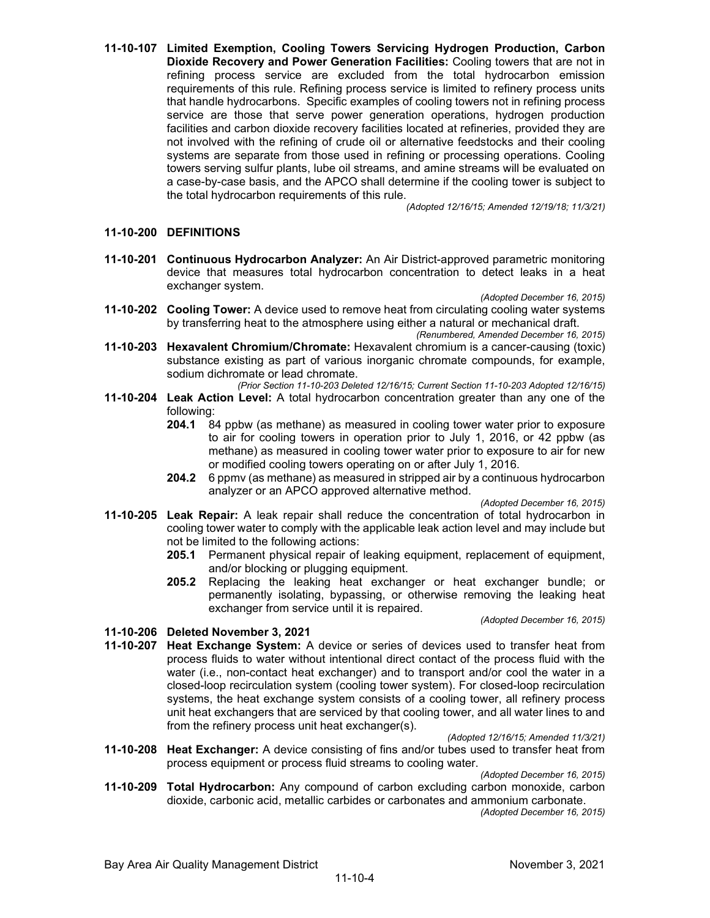**11-10-107 Limited Exemption, Cooling Towers Servicing Hydrogen Production, Carbon Dioxide Recovery and Power Generation Facilities:** Cooling towers that are not in refining process service are excluded from the total hydrocarbon emission requirements of this rule. Refining process service is limited to refinery process units that handle hydrocarbons. Specific examples of cooling towers not in refining process service are those that serve power generation operations, hydrogen production facilities and carbon dioxide recovery facilities located at refineries, provided they are not involved with the refining of crude oil or alternative feedstocks and their cooling systems are separate from those used in refining or processing operations. Cooling towers serving sulfur plants, lube oil streams, and amine streams will be evaluated on a case-by-case basis, and the APCO shall determine if the cooling tower is subject to the total hydrocarbon requirements of this rule.

*(Adopted 12/16/15; Amended 12/19/18; 11/3/21)*

# **11-10-200 DEFINITIONS**

**11-10-201 Continuous Hydrocarbon Analyzer:** An Air District-approved parametric monitoring device that measures total hydrocarbon concentration to detect leaks in a heat exchanger system.

*(Adopted December 16, 2015)*

- **11-10-202 Cooling Tower:** A device used to remove heat from circulating cooling water systems by transferring heat to the atmosphere using either a natural or mechanical draft.
- *(Renumbered, Amended December 16, 2015)* **11-10-203 Hexavalent Chromium/Chromate:** Hexavalent chromium is a cancer-causing (toxic) substance existing as part of various inorganic chromate compounds, for example, sodium dichromate or lead chromate.
- *(Prior Section 11-10-203 Deleted 12/16/15; Current Section 11-10-203 Adopted 12/16/15)* **11-10-204 Leak Action Level:** A total hydrocarbon concentration greater than any one of the following:
	- **204.1** 84 ppbw (as methane) as measured in cooling tower water prior to exposure to air for cooling towers in operation prior to July 1, 2016, or 42 ppbw (as methane) as measured in cooling tower water prior to exposure to air for new or modified cooling towers operating on or after July 1, 2016.
	- **204.2** 6 ppmv (as methane) as measured in stripped air by a continuous hydrocarbon analyzer or an APCO approved alternative method.

*(Adopted December 16, 2015)*

- **11-10-205 Leak Repair:** A leak repair shall reduce the concentration of total hydrocarbon in cooling tower water to comply with the applicable leak action level and may include but not be limited to the following actions:
	- **205.1** Permanent physical repair of leaking equipment, replacement of equipment, and/or blocking or plugging equipment.
	- **205.2** Replacing the leaking heat exchanger or heat exchanger bundle; or permanently isolating, bypassing, or otherwise removing the leaking heat exchanger from service until it is repaired.

*(Adopted December 16, 2015)*

### **11-10-206 Deleted November 3, 2021**

**11-10-207 Heat Exchange System:** A device or series of devices used to transfer heat from process fluids to water without intentional direct contact of the process fluid with the water (i.e., non-contact heat exchanger) and to transport and/or cool the water in a closed-loop recirculation system (cooling tower system). For closed-loop recirculation systems, the heat exchange system consists of a cooling tower, all refinery process unit heat exchangers that are serviced by that cooling tower, and all water lines to and from the refinery process unit heat exchanger(s).

*(Adopted 12/16/15; Amended 11/3/21)*

**11-10-208 Heat Exchanger:** A device consisting of fins and/or tubes used to transfer heat from process equipment or process fluid streams to cooling water.

*(Adopted December 16, 2015)*

**11-10-209 Total Hydrocarbon:** Any compound of carbon excluding carbon monoxide, carbon dioxide, carbonic acid, metallic carbides or carbonates and ammonium carbonate.

*(Adopted December 16, 2015)*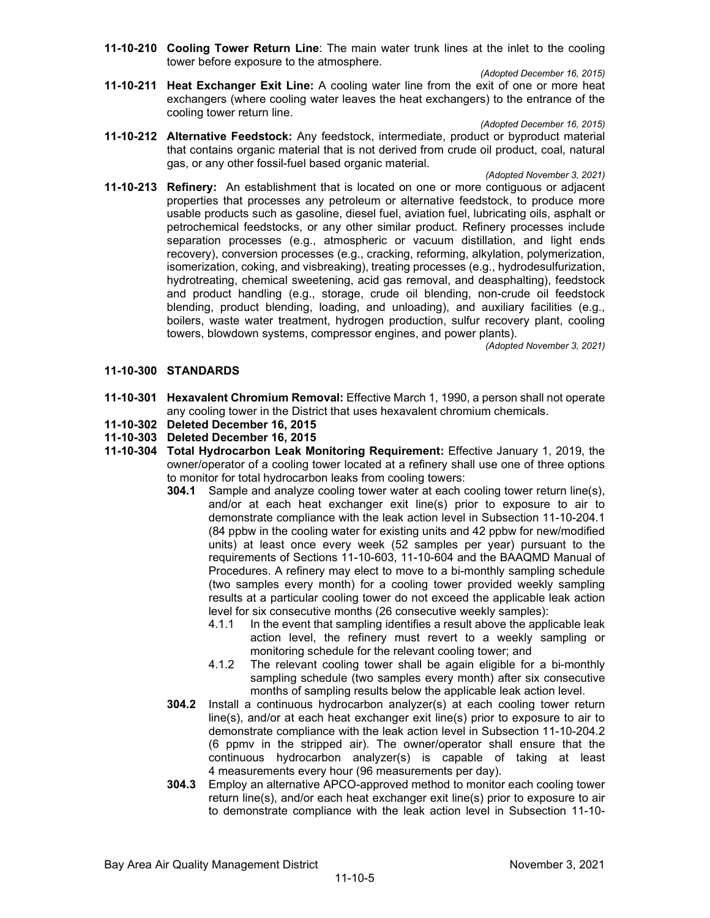**11-10-210 Cooling Tower Return Line**: The main water trunk lines at the inlet to the cooling tower before exposure to the atmosphere.

*(Adopted December 16, 2015)*

**11-10-211 Heat Exchanger Exit Line:** A cooling water line from the exit of one or more heat exchangers (where cooling water leaves the heat exchangers) to the entrance of the cooling tower return line.

*(Adopted December 16, 2015)*

**11-10-212 Alternative Feedstock:** Any feedstock, intermediate, product or byproduct material that contains organic material that is not derived from crude oil product, coal, natural gas, or any other fossil-fuel based organic material.

*(Adopted November 3, 2021)*

**11-10-213 Refinery:** An establishment that is located on one or more contiguous or adjacent properties that processes any petroleum or alternative feedstock, to produce more usable products such as gasoline, diesel fuel, aviation fuel, lubricating oils, asphalt or petrochemical feedstocks, or any other similar product. Refinery processes include separation processes (e.g., atmospheric or vacuum distillation, and light ends recovery), conversion processes (e.g., cracking, reforming, alkylation, polymerization, isomerization, coking, and visbreaking), treating processes (e.g., hydrodesulfurization, hydrotreating, chemical sweetening, acid gas removal, and deasphalting), feedstock and product handling (e.g., storage, crude oil blending, non-crude oil feedstock blending, product blending, loading, and unloading), and auxiliary facilities (e.g., boilers, waste water treatment, hydrogen production, sulfur recovery plant, cooling towers, blowdown systems, compressor engines, and power plants).

*(Adopted November 3, 2021)*

#### **11-10-300 STANDARDS**

- **11-10-301 Hexavalent Chromium Removal:** Effective March 1, 1990, a person shall not operate any cooling tower in the District that uses hexavalent chromium chemicals.
- **11-10-302 Deleted December 16, 2015**
- **11-10-303 Deleted December 16, 2015**
- **11-10-304 Total Hydrocarbon Leak Monitoring Requirement:** Effective January 1, 2019, the owner/operator of a cooling tower located at a refinery shall use one of three options to monitor for total hydrocarbon leaks from cooling towers:
	- **304.1** Sample and analyze cooling tower water at each cooling tower return line(s), and/or at each heat exchanger exit line(s) prior to exposure to air to demonstrate compliance with the leak action level in Subsection 11-10-204.1 (84 ppbw in the cooling water for existing units and 42 ppbw for new/modified units) at least once every week (52 samples per year) pursuant to the requirements of Sections 11-10-603, 11-10-604 and the BAAQMD Manual of Procedures. A refinery may elect to move to a bi-monthly sampling schedule (two samples every month) for a cooling tower provided weekly sampling results at a particular cooling tower do not exceed the applicable leak action level for six consecutive months (26 consecutive weekly samples):
		- 4.1.1 In the event that sampling identifies a result above the applicable leak action level, the refinery must revert to a weekly sampling or monitoring schedule for the relevant cooling tower; and
		- 4.1.2 The relevant cooling tower shall be again eligible for a bi-monthly sampling schedule (two samples every month) after six consecutive months of sampling results below the applicable leak action level.
	- **304.2** Install a continuous hydrocarbon analyzer(s) at each cooling tower return line(s), and/or at each heat exchanger exit line(s) prior to exposure to air to demonstrate compliance with the leak action level in Subsection 11-10-204.2 (6 ppmv in the stripped air). The owner/operator shall ensure that the continuous hydrocarbon analyzer(s) is capable of taking at least 4 measurements every hour (96 measurements per day).
	- **304.3** Employ an alternative APCO-approved method to monitor each cooling tower return line(s), and/or each heat exchanger exit line(s) prior to exposure to air to demonstrate compliance with the leak action level in Subsection 11-10-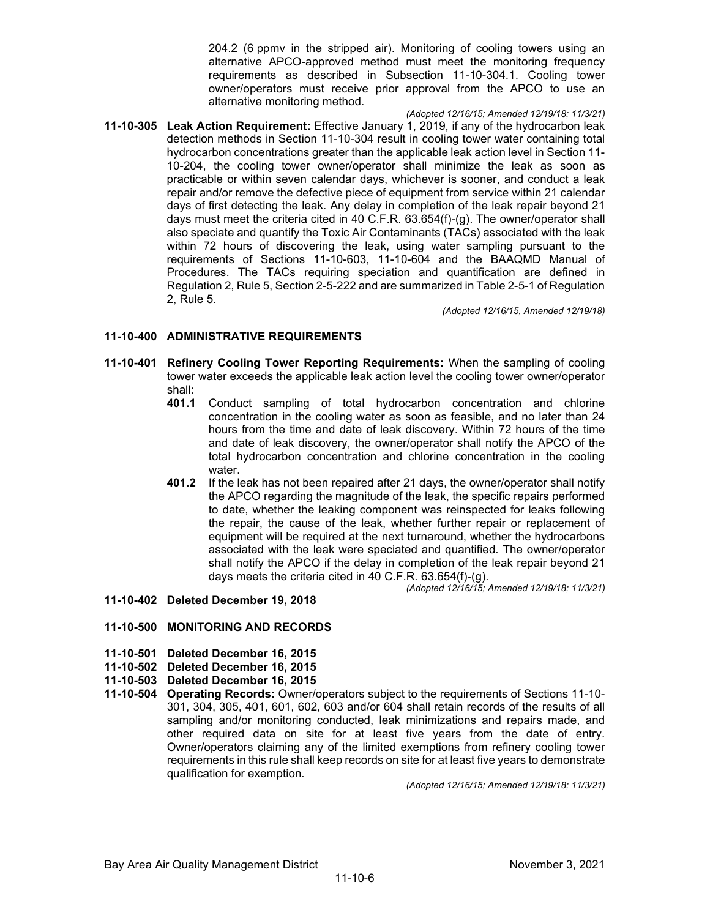204.2 (6 ppmv in the stripped air). Monitoring of cooling towers using an alternative APCO-approved method must meet the monitoring frequency requirements as described in Subsection 11-10-304.1. Cooling tower owner/operators must receive prior approval from the APCO to use an alternative monitoring method.

*(Adopted 12/16/15; Amended 12/19/18; 11/3/21)* **11-10-305 Leak Action Requirement:** Effective January 1, 2019, if any of the hydrocarbon leak detection methods in Section 11-10-304 result in cooling tower water containing total hydrocarbon concentrations greater than the applicable leak action level in Section 11- 10-204, the cooling tower owner/operator shall minimize the leak as soon as practicable or within seven calendar days, whichever is sooner, and conduct a leak repair and/or remove the defective piece of equipment from service within 21 calendar days of first detecting the leak. Any delay in completion of the leak repair beyond 21 days must meet the criteria cited in 40 C.F.R. 63.654(f)-(g). The owner/operator shall also speciate and quantify the Toxic Air Contaminants (TACs) associated with the leak within 72 hours of discovering the leak, using water sampling pursuant to the requirements of Sections 11-10-603, 11-10-604 and the BAAQMD Manual of Procedures. The TACs requiring speciation and quantification are defined in Regulation 2, Rule 5, Section 2-5-222 and are summarized in Table 2-5-1 of Regulation 2, Rule 5.

*(Adopted 12/16/15, Amended 12/19/18)*

## **11-10-400 ADMINISTRATIVE REQUIREMENTS**

- **11-10-401 Refinery Cooling Tower Reporting Requirements:** When the sampling of cooling tower water exceeds the applicable leak action level the cooling tower owner/operator shall:<br>**401.1** 
	- **401.1** Conduct sampling of total hydrocarbon concentration and chlorine concentration in the cooling water as soon as feasible, and no later than 24 hours from the time and date of leak discovery. Within 72 hours of the time and date of leak discovery, the owner/operator shall notify the APCO of the total hydrocarbon concentration and chlorine concentration in the cooling water.
	- **401.2** If the leak has not been repaired after 21 days, the owner/operator shall notify the APCO regarding the magnitude of the leak, the specific repairs performed to date, whether the leaking component was reinspected for leaks following the repair, the cause of the leak, whether further repair or replacement of equipment will be required at the next turnaround, whether the hydrocarbons associated with the leak were speciated and quantified. The owner/operator shall notify the APCO if the delay in completion of the leak repair beyond 21 days meets the criteria cited in 40 C.F.R. 63.654(f)-(g). *(Adopted 12/16/15; Amended 12/19/18; 11/3/21)*
- **11-10-402 Deleted December 19, 2018**

# **11-10-500 MONITORING AND RECORDS**

- **11-10-501 Deleted December 16, 2015**
- **11-10-502 Deleted December 16, 2015**
- **11-10-503 Deleted December 16, 2015**
- **11-10-504 Operating Records:** Owner/operators subject to the requirements of Sections 11-10- 301, 304, 305, 401, 601, 602, 603 and/or 604 shall retain records of the results of all sampling and/or monitoring conducted, leak minimizations and repairs made, and other required data on site for at least five years from the date of entry. Owner/operators claiming any of the limited exemptions from refinery cooling tower requirements in this rule shall keep records on site for at least five years to demonstrate qualification for exemption.

*(Adopted 12/16/15; Amended 12/19/18; 11/3/21)*